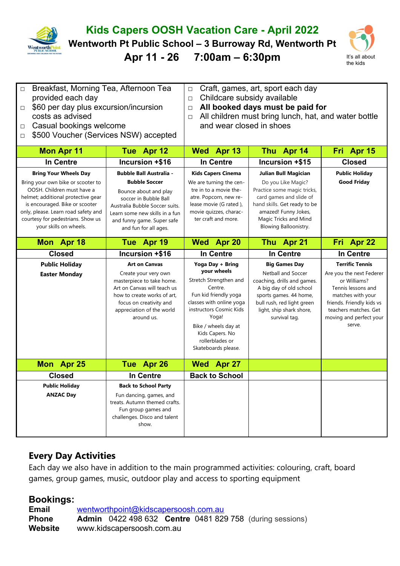

## **Kids Capers OOSH Vacation Care - April 2022**

**Wentworth Pt Public School – 3 Burroway Rd, Wentworth Pt**

**Apr 11 - 26 7:00am – 6:30pm** It's all about



| Breakfast, Morning Tea, Afternoon Tea<br>$\Box$<br>provided each day<br>\$60 per day plus excursion/incursion<br>$\Box$<br>costs as advised<br>Casual bookings welcome<br>$\Box$<br>\$500 Voucher (Services NSW) accepted<br>□                                                |                                                                                                                                                                                                                                     | Craft, games, art, sport each day<br>$\Box$<br>Childcare subsidy available<br>$\Box$<br>All booked days must be paid for<br>$\Box$<br>All children must bring lunch, hat, and water bottle<br>$\Box$<br>and wear closed in shoes                   |                                                                                                                                                                                                                  |                                                                                                                                                                                                          |  |
|-------------------------------------------------------------------------------------------------------------------------------------------------------------------------------------------------------------------------------------------------------------------------------|-------------------------------------------------------------------------------------------------------------------------------------------------------------------------------------------------------------------------------------|----------------------------------------------------------------------------------------------------------------------------------------------------------------------------------------------------------------------------------------------------|------------------------------------------------------------------------------------------------------------------------------------------------------------------------------------------------------------------|----------------------------------------------------------------------------------------------------------------------------------------------------------------------------------------------------------|--|
| <b>Mon Apr 11</b>                                                                                                                                                                                                                                                             | Tue Apr 12                                                                                                                                                                                                                          | Wed Apr 13                                                                                                                                                                                                                                         | Thu Apr 14                                                                                                                                                                                                       | Fri Apr 15                                                                                                                                                                                               |  |
| <b>In Centre</b>                                                                                                                                                                                                                                                              | Incursion +\$16                                                                                                                                                                                                                     | <b>In Centre</b>                                                                                                                                                                                                                                   | Incursion +\$15                                                                                                                                                                                                  | <b>Closed</b>                                                                                                                                                                                            |  |
| <b>Bring Your Wheels Day</b><br>Bring your own bike or scooter to<br>OOSH. Children must have a<br>helmet; additional protective gear<br>is encouraged. Bike or scooter<br>only, please. Learn road safety and<br>courtesy for pedestrians. Show us<br>your skills on wheels. | <b>Bubble Ball Australia -</b><br><b>Bubble Soccer</b><br>Bounce about and play<br>soccer in Bubble Ball<br>Australia Bubble Soccer suits.<br>Learn some new skills in a fun<br>and funny game. Super safe<br>and fun for all ages. | <b>Kids Capers Cinema</b><br>We are turning the cen-<br>tre in to a movie the-<br>atre. Popcorn, new re-<br>lease movie (G rated),<br>movie quizzes, charac-<br>ter craft and more.                                                                | Julian Bull Magician<br>Do you Like Magic?<br>Practice some magic tricks,<br>card games and slide of<br>hand skills. Get ready to be<br>amazed! Funny Jokes,<br>Magic Tricks and Mind<br>Blowing Balloonistry.   | <b>Public Holiday</b><br><b>Good Friday</b>                                                                                                                                                              |  |
| Mon Apr 18                                                                                                                                                                                                                                                                    | Tue Apr 19                                                                                                                                                                                                                          | Wed Apr 20                                                                                                                                                                                                                                         | Thu Apr 21                                                                                                                                                                                                       | Fri Apr 22                                                                                                                                                                                               |  |
| <b>Closed</b>                                                                                                                                                                                                                                                                 | Incursion +\$16                                                                                                                                                                                                                     | In Centre                                                                                                                                                                                                                                          | In Centre                                                                                                                                                                                                        | In Centre                                                                                                                                                                                                |  |
|                                                                                                                                                                                                                                                                               |                                                                                                                                                                                                                                     |                                                                                                                                                                                                                                                    |                                                                                                                                                                                                                  |                                                                                                                                                                                                          |  |
| <b>Public Holiday</b><br><b>Easter Monday</b>                                                                                                                                                                                                                                 | <b>Art on Canvas</b><br>Create your very own<br>masterpiece to take home.<br>Art on Canvas will teach us<br>how to create works of art,<br>focus on creativity and<br>appreciation of the world<br>around us.                       | Yoga Day + Bring<br>your wheels<br>Stretch Strengthen and<br>Centre.<br>Fun kid friendly yoga<br>classes with online yoga<br>instructors Cosmic Kids<br>Yoga!<br>Bike / wheels day at<br>Kids Capers. No<br>rollerblades or<br>Skateboards please. | <b>Big Games Day</b><br><b>Netball and Soccer</b><br>coaching, drills and games.<br>A big day of old school<br>sports games. 44 home,<br>bull rush, red light green<br>light, ship shark shore,<br>survival tag. | <b>Terrific Tennis</b><br>Are you the next Federer<br>or Williams?<br>Tennis lessons and<br>matches with your<br>friends. Friendly kids vs<br>teachers matches. Get<br>moving and perfect your<br>serve. |  |
| Mon Apr 25                                                                                                                                                                                                                                                                    | Tue Apr 26                                                                                                                                                                                                                          | Wed Apr 27                                                                                                                                                                                                                                         |                                                                                                                                                                                                                  |                                                                                                                                                                                                          |  |
| <b>Closed</b><br><b>Public Holiday</b>                                                                                                                                                                                                                                        | In Centre<br><b>Back to School Party</b>                                                                                                                                                                                            | <b>Back to School</b>                                                                                                                                                                                                                              |                                                                                                                                                                                                                  |                                                                                                                                                                                                          |  |

## **Every Day Activities**

Each day we also have in addition to the main programmed activities: colouring, craft, board games, group games, music, outdoor play and access to sporting equipment

## **Bookings:**

**Email** [wentworthpoint@kidscapersoosh.com.au](mailto:dulwich@kidscapersoosh.com.au) **Phone Admin** 0422 498 632 **Centre** 0481 829 758 (during sessions) **Website** www.kidscapersoosh.com.au